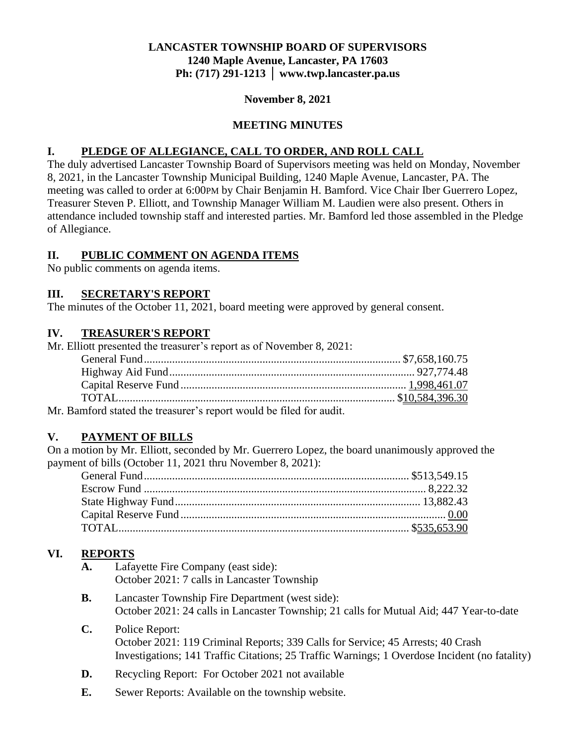#### **LANCASTER TOWNSHIP BOARD OF SUPERVISORS 1240 Maple Avenue, Lancaster, PA 17603 Ph: (717) 291-1213 │ www.twp.lancaster.pa.us**

#### **November 8, 2021**

#### **MEETING MINUTES**

#### **I. PLEDGE OF ALLEGIANCE, CALL TO ORDER, AND ROLL CALL**

The duly advertised Lancaster Township Board of Supervisors meeting was held on Monday, November 8, 2021, in the Lancaster Township Municipal Building, 1240 Maple Avenue, Lancaster, PA. The meeting was called to order at 6:00PM by Chair Benjamin H. Bamford. Vice Chair Iber Guerrero Lopez, Treasurer Steven P. Elliott, and Township Manager William M. Laudien were also present. Others in attendance included township staff and interested parties. Mr. Bamford led those assembled in the Pledge of Allegiance.

#### **II. PUBLIC COMMENT ON AGENDA ITEMS**

No public comments on agenda items.

#### **III. SECRETARY'S REPORT**

The minutes of the October 11, 2021, board meeting were approved by general consent.

#### **IV. TREASURER'S REPORT**

| Mr. Elliott presented the treasurer's report as of November 8, 2021: |  |
|----------------------------------------------------------------------|--|
|                                                                      |  |
|                                                                      |  |
|                                                                      |  |
|                                                                      |  |
|                                                                      |  |

Mr. Bamford stated the treasurer's report would be filed for audit.

### **V. PAYMENT OF BILLS**

On a motion by Mr. Elliott, seconded by Mr. Guerrero Lopez, the board unanimously approved the payment of bills (October 11, 2021 thru November 8, 2021):

### **VI. REPORTS**

- **A.** Lafayette Fire Company (east side): October 2021: 7 calls in Lancaster Township
- **B.** Lancaster Township Fire Department (west side): October 2021: 24 calls in Lancaster Township; 21 calls for Mutual Aid; 447 Year-to-date
- **C.** Police Report: October 2021: 119 Criminal Reports; 339 Calls for Service; 45 Arrests; 40 Crash Investigations; 141 Traffic Citations; 25 Traffic Warnings; 1 Overdose Incident (no fatality)
- **D.** Recycling Report: For October 2021 not available
- **E.** Sewer Reports: Available on the township website.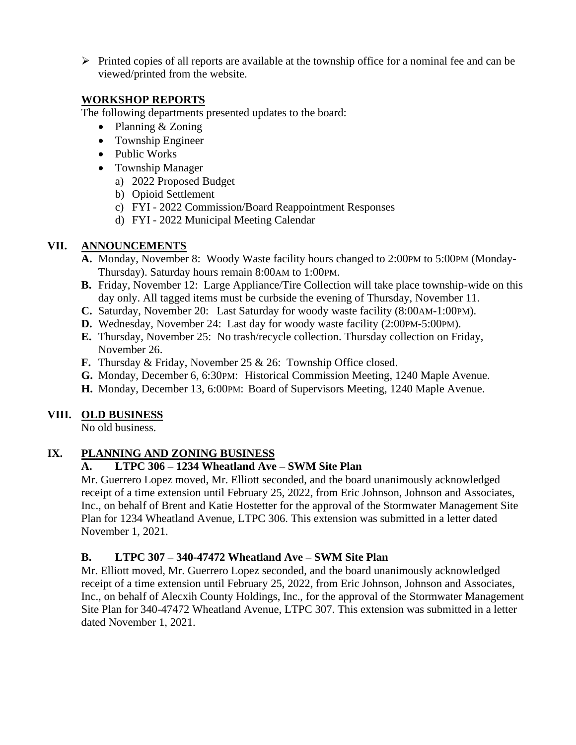➢ Printed copies of all reports are available at the township office for a nominal fee and can be viewed/printed from the website.

#### **WORKSHOP REPORTS**

The following departments presented updates to the board:

- Planning & Zoning
- Township Engineer
- Public Works
- Township Manager
	- a) 2022 Proposed Budget
	- b) Opioid Settlement
	- c) FYI 2022 Commission/Board Reappointment Responses
	- d) FYI 2022 Municipal Meeting Calendar

### **VII. ANNOUNCEMENTS**

- **A.** Monday, November 8: Woody Waste facility hours changed to 2:00PM to 5:00PM (Monday-Thursday). Saturday hours remain 8:00AM to 1:00PM.
- **B.** Friday, November 12: Large Appliance/Tire Collection will take place township-wide on this day only. All tagged items must be curbside the evening of Thursday, November 11.
- **C.** Saturday, November 20: Last Saturday for woody waste facility (8:00AM-1:00PM).
- **D.** Wednesday, November 24: Last day for woody waste facility (2:00PM-5:00PM).
- **E.** Thursday, November 25: No trash/recycle collection. Thursday collection on Friday, November 26.
- **F.** Thursday & Friday, November 25 & 26: Township Office closed.
- **G.** Monday, December 6, 6:30PM: Historical Commission Meeting, 1240 Maple Avenue.
- **H.** Monday, December 13, 6:00PM: Board of Supervisors Meeting, 1240 Maple Avenue.

### **VIII. OLD BUSINESS**

No old business.

### **IX. PLANNING AND ZONING BUSINESS**

### **A. LTPC 306 – 1234 Wheatland Ave – SWM Site Plan**

Mr. Guerrero Lopez moved, Mr. Elliott seconded, and the board unanimously acknowledged receipt of a time extension until February 25, 2022, from Eric Johnson, Johnson and Associates, Inc., on behalf of Brent and Katie Hostetter for the approval of the Stormwater Management Site Plan for 1234 Wheatland Avenue, LTPC 306. This extension was submitted in a letter dated November 1, 2021.

### **B. LTPC 307 – 340-47472 Wheatland Ave – SWM Site Plan**

Mr. Elliott moved, Mr. Guerrero Lopez seconded, and the board unanimously acknowledged receipt of a time extension until February 25, 2022, from Eric Johnson, Johnson and Associates, Inc., on behalf of Alecxih County Holdings, Inc., for the approval of the Stormwater Management Site Plan for 340-47472 Wheatland Avenue, LTPC 307. This extension was submitted in a letter dated November 1, 2021.